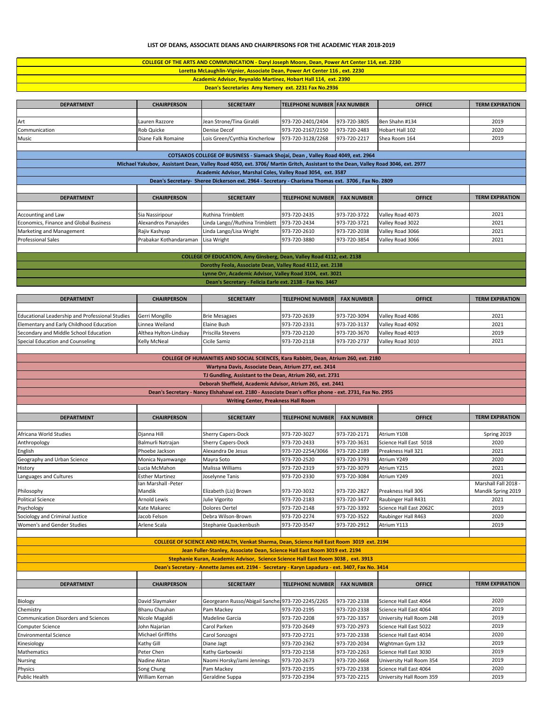## **LIST OF DEANS, ASSOCIATE DEANS AND CHAIRPERSONS FOR THE ACADEMIC YEAR 2018-2019**

| COLLEGE OF THE ARTS AND COMMUNICATION - Daryl Joseph Moore, Dean, Power Art Center 114, ext. 2230 |
|---------------------------------------------------------------------------------------------------|
| Loretta McLaughlin-Vignier, Associate Dean, Power Art Center 116, ext. 2230                       |
| <b>Academic Advisor, Reynaldo Martinez, Hobart Hall 114, ext. 2390</b>                            |
| <b>Dean's Secretaries Amy Nemery ext. 2231 Fax No.2936</b>                                        |

| <b>DEPARTMENT</b>                      | <b>CHAIRPERSON</b>     | <b>SECRETARY</b>                                                                                                                | <b>TELEPHONE NUMBER FAX NUMBER</b> |                   | <b>OFFICE</b>    | <b>TERM EXPIRATION</b> |
|----------------------------------------|------------------------|---------------------------------------------------------------------------------------------------------------------------------|------------------------------------|-------------------|------------------|------------------------|
|                                        |                        |                                                                                                                                 |                                    |                   |                  |                        |
| Art                                    | Lauren Razzore         | Jean Strone/Tina Giraldi                                                                                                        | 973-720-2401/2404                  | 973-720-3805      | Ben Shahn #134   | 2019                   |
| Communication                          | Rob Quicke             | <b>Denise Decof</b>                                                                                                             | 973-720-2167/2150                  | 973-720-2483      | Hobart Hall 102  | 2020                   |
| Music                                  | Diane Falk Romaine     | Lois Green/Cynthia Kincherlow                                                                                                   | 973-720-3128/2268                  | 973-720-2217      | Shea Room 164    | 2019                   |
|                                        |                        |                                                                                                                                 |                                    |                   |                  |                        |
|                                        |                        | COTSAKOS COLLEGE OF BUSINESS - Siamack Shojai, Dean, Valley Road 4049, ext. 2964                                                |                                    |                   |                  |                        |
|                                        |                        | Michael Yakubov, Assistant Dean, Valley Road 4050, ext. 3706/ Martin Gritch, Assistant to the Dean, Valley Road 3046, ext. 2977 |                                    |                   |                  |                        |
|                                        |                        | Academic Advisor, Marshal Coles, Valley Road 3054, ext. 3587                                                                    |                                    |                   |                  |                        |
|                                        |                        | Dean's Secretary- Sheree Dickerson ext. 2964 - Secretary - Charisma Thomas ext. 3706, Fax No. 2809                              |                                    |                   |                  |                        |
|                                        |                        |                                                                                                                                 |                                    |                   |                  |                        |
| <b>DEPARTMENT</b>                      | <b>CHAIRPERSON</b>     | <b>SECRETARY</b>                                                                                                                | <b>TELEPHONE NUMBER</b>            | <b>FAX NUMBER</b> | <b>OFFICE</b>    | <b>TERM EXPIRATION</b> |
|                                        |                        |                                                                                                                                 |                                    |                   |                  |                        |
| Accounting and Law                     | Sia Nassiripour        | <b>Ruthina Trimblett</b>                                                                                                        | 973-720-2435                       | 973-720-3722      | Valley Road 4073 | 2021                   |
| Economics, Finance and Global Business | Alexandros Panayides   | Linda Lango//Ruthina Trimblett                                                                                                  | 973-720-2434                       | 973-720-3721      | Valley Road 3022 | 2021                   |
| Marketing and Management               | Rajiv Kashyap          | Linda Lango/Lisa Wright                                                                                                         | 973-720-2610                       | 973-720-2038      | Valley Road 3066 | 2021                   |
| <b>Professional Sales</b>              | Prabakar Kothandaraman | Lisa Wright                                                                                                                     | 973-720-3880                       | 973-720-3854      | Valley Road 3066 | 2021                   |
|                                        |                        |                                                                                                                                 |                                    |                   |                  |                        |
|                                        |                        | COLLEGE OF EDUCATION, Amy Ginsberg, Dean, Valley Road 4112, ext. 2138                                                           |                                    |                   |                  |                        |
|                                        |                        | Dorothy Feola, Associate Dean, Valley Road 4112, ext. 2138                                                                      |                                    |                   |                  |                        |
|                                        |                        |                                                                                                                                 |                                    |                   |                  |                        |
|                                        |                        | Lynne Orr, Academic Advisor, Valley Road 3104, ext. 3021                                                                        |                                    |                   |                  |                        |

| <b>DEPARTMENT</b>                                                                                      | <b>CHAIRPERSON</b>                        | <b>SECRETARY</b>                                                                                  | <b>TELEPHONE NUMBER</b>      | <b>FAX NUMBER</b>            | <b>OFFICE</b>                                      | <b>TERM EXPIRATION</b> |  |  |
|--------------------------------------------------------------------------------------------------------|-------------------------------------------|---------------------------------------------------------------------------------------------------|------------------------------|------------------------------|----------------------------------------------------|------------------------|--|--|
|                                                                                                        |                                           |                                                                                                   |                              |                              |                                                    |                        |  |  |
| <b>Educational Leadership and Professional Studies</b>                                                 | Gerri Mongillo                            | <b>Brie Mesagaes</b>                                                                              | 973-720-2639                 | 973-720-3094                 | Valley Road 4086                                   | 2021                   |  |  |
| Elementary and Early Childhood Education                                                               | Linnea Weiland                            | Elaine Bush                                                                                       | 973-720-2331                 | 973-720-3137                 | Valley Road 4092                                   | 2021                   |  |  |
| Secondary and Middle School Education                                                                  | Althea Hylton-Lindsay                     | Priscilla Stevens                                                                                 | 973-720-2120                 | 973-720-3670                 | Valley Road 4019                                   | 2019                   |  |  |
| Special Education and Counseling                                                                       | <b>Kelly McNeal</b>                       | Cicile Samiz                                                                                      | 973-720-2118                 | 973-720-2737                 | Valley Road 3010                                   | 2021                   |  |  |
|                                                                                                        |                                           |                                                                                                   |                              |                              |                                                    |                        |  |  |
|                                                                                                        |                                           | COLLEGE OF HUMANITIES AND SOCIAL SCIENCES, Kara Rabbitt, Dean, Atrium 260, ext. 2180              |                              |                              |                                                    |                        |  |  |
| Wartyna Davis, Associate Dean, Atrium 277, ext. 2414                                                   |                                           |                                                                                                   |                              |                              |                                                    |                        |  |  |
| TJ Gundling, Assistant to the Dean, Atrium 260, ext. 2731                                              |                                           |                                                                                                   |                              |                              |                                                    |                        |  |  |
| Deborah Sheffield, Academic Advisor, Atrium 265, ext. 2441                                             |                                           |                                                                                                   |                              |                              |                                                    |                        |  |  |
| Dean's Secretary - Nancy Elshahawi ext. 2180 - Associate Dean's office phone - ext. 2731, Fax No. 2955 |                                           |                                                                                                   |                              |                              |                                                    |                        |  |  |
|                                                                                                        |                                           | <b>Writing Center, Preakness Hall Room</b>                                                        |                              |                              |                                                    |                        |  |  |
|                                                                                                        |                                           |                                                                                                   |                              |                              |                                                    |                        |  |  |
| <b>DEPARTMENT</b>                                                                                      | <b>CHAIRPERSON</b>                        | <b>SECRETARY</b>                                                                                  | <b>TELEPHONE NUMBER</b>      | <b>FAX NUMBER</b>            | <b>OFFICE</b>                                      | <b>TERM EXPIRATION</b> |  |  |
|                                                                                                        |                                           |                                                                                                   |                              |                              |                                                    |                        |  |  |
| Africana World Studies                                                                                 | Djanna Hill                               | Sherry Capers-Dock                                                                                | 973-720-3027                 | 973-720-2171                 | Atrium Y108                                        | Spring 2019            |  |  |
| Anthropology                                                                                           | Balmurli Natrajan                         | <b>Sherry Capers-Dock</b>                                                                         | 973-720-2433                 | 973-720-3631                 | Science Hall East 5018                             | 2020                   |  |  |
| English                                                                                                | Phoebe Jackson                            | Alexandra De Jesus                                                                                | 973-720-2254/3066            | 973-720-2189                 | Preakness Hall 321                                 | 2021                   |  |  |
| Geography and Urban Science                                                                            | Monica Nyamwange                          | Mayra Soto                                                                                        | 973-720-2520                 | 973-720-3793                 | Atrium Y249                                        | 2020                   |  |  |
| History                                                                                                | Lucia McMahon                             | Malissa Williams                                                                                  | 973-720-2319                 | 973-720-3079                 | Atrium Y215                                        | 2021                   |  |  |
| Languages and Cultures                                                                                 | <b>Esther Martinez</b>                    | Joselynne Tanis                                                                                   | 973-720-2330                 | 973-720-3084                 | Atrium Y249                                        | 2021                   |  |  |
|                                                                                                        | Ian Marshall -Peter                       |                                                                                                   |                              |                              |                                                    | Marshall Fall 2018 -   |  |  |
| Philosophy                                                                                             | Mandik                                    | Elizabeth (Liz) Brown                                                                             | 973-720-3032                 | 973-720-2827                 | Preakness Hall 306                                 | Mandik Spring 2019     |  |  |
| <b>Political Science</b>                                                                               | <b>Arnold Lewis</b>                       | Julie Vigorito                                                                                    | 973-720-2183                 | 973-720-3477                 | Raubinger Hall R431                                | 2021                   |  |  |
| Psychology                                                                                             | Kate Makarec                              | Dolores Oertel                                                                                    | 973-720-2148                 | 973-720-3392                 | Science Hall East 2062C                            | 2019                   |  |  |
| Sociology and Criminal Justice                                                                         | Jacob Felson                              | Debra Wilson-Brown                                                                                | 973-720-2274                 | 973-720-3522                 | Raubinger Hall R463                                | 2020                   |  |  |
| Women's and Gender Studies                                                                             | Arlene Scala                              | Stephanie Quackenbush                                                                             | 973-720-3547                 | 973-720-2912                 | Atrium Y113                                        | 2019                   |  |  |
|                                                                                                        |                                           |                                                                                                   |                              |                              |                                                    |                        |  |  |
|                                                                                                        |                                           | COLLEGE OF SCIENCE AND HEALTH, Venkat Sharma, Dean, Science Hall East Room 3019 ext. 2194         |                              |                              |                                                    |                        |  |  |
|                                                                                                        |                                           | Jean Fuller-Stanley, Associate Dean, Science Hall East Room 3019 ext. 2194                        |                              |                              |                                                    |                        |  |  |
|                                                                                                        |                                           | Stephanie Kuran, Academic Advisor, Science Science Hall East Room 3038, ext. 3913                 |                              |                              |                                                    |                        |  |  |
|                                                                                                        |                                           | Dean's Secretary - Annette James ext. 2194 - Secretary - Karyn Lapadura - ext. 3407, Fax No. 3414 |                              |                              |                                                    |                        |  |  |
|                                                                                                        |                                           |                                                                                                   |                              |                              |                                                    |                        |  |  |
| <b>DEPARTMENT</b>                                                                                      | <b>CHAIRPERSON</b>                        | <b>SECRETARY</b>                                                                                  | <b>TELEPHONE NUMBER</b>      | <b>FAX NUMBER</b>            | <b>OFFICE</b>                                      | <b>TERM EXPIRATION</b> |  |  |
|                                                                                                        |                                           |                                                                                                   |                              |                              |                                                    | 2020                   |  |  |
| Biology<br>Chemistry                                                                                   | David Slaymaker<br><b>Bhanu Chauhan</b>   | Georgeann Russo/Abigail Sanche: 973-720-2245/2265<br>Pam Mackey                                   | 973-720-2195                 | 973-720-2338<br>973-720-2338 | Science Hall East 4064<br>Science Hall East 4064   | 2019                   |  |  |
|                                                                                                        |                                           |                                                                                                   |                              |                              |                                                    | 2019                   |  |  |
| <b>Communication Disorders and Sciences</b>                                                            | Nicole Magaldi                            | Madeline Garcia                                                                                   | 973-720-2208                 | 973-720-3357                 | University Hall Room 248                           | 2019                   |  |  |
| Computer Science                                                                                       | John Najarian<br><b>Michael Griffiths</b> | Carol Parken                                                                                      | 973-720-2649                 | 973-720-2973                 | Science Hall East 5022                             | 2020                   |  |  |
| <b>Environmental Science</b>                                                                           |                                           | Carol Sonzogni                                                                                    | 973-720-2721                 | 973-720-2338                 | Science Hall East 4034                             | 2019                   |  |  |
| Kinesiology                                                                                            | Kathy Gill                                | Diane Jagt                                                                                        | 973-720-2362                 | 973-720-2034                 | Wightman Gym 132                                   | 2019                   |  |  |
| Mathematics                                                                                            | Peter Chen<br>Nadine Aktan                | Kathy Garbowski<br>Naomi Horsky/Jami Jennings                                                     | 973-720-2158<br>973-720-2673 | 973-720-2263<br>973-720-2668 | Science Hall East 3030<br>University Hall Room 354 | 2019                   |  |  |
| Nursing<br>Physics                                                                                     | Song Chung                                | Pam Mackey                                                                                        | 973-720-2195                 | 973-720-2338                 | Science Hall East 4064                             | 2020                   |  |  |
| Public Health                                                                                          | William Kernan                            | Geraldine Suppa                                                                                   | 973-720-2394                 | 973-720-2215                 |                                                    | 2019                   |  |  |
|                                                                                                        |                                           |                                                                                                   |                              |                              | University Hall Room 359                           |                        |  |  |